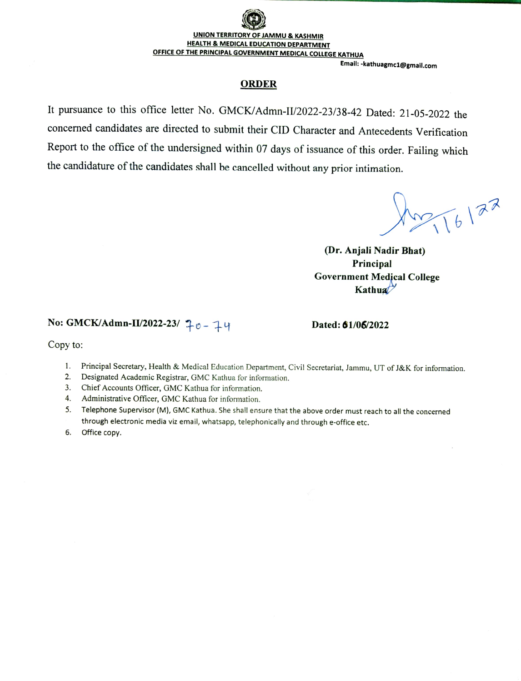### UNION TERRITORY OF JAMMU & KASHMIR HEALTH & MEDICAL EDUCATION DEPARTMENI OFFICE OF THE PRINCIPAL GOVERNMENT MEDICAL COLLEGE KATHUA

#### Email:-kathuagmc1@gmail.com

#### ORDER

It pursuance to this office letter No. GMCK/Admn-I/2022-23/38-42 Dated: 21-05-2022 the concerned candidates are directed to submit their CID Character and Antecedents Verification Report to the office of the undersigned within 07 days of issuance of this order. Failing which the candidature of the candidates shall be cancelled without any prior intimation.

 $2216122$ 

(Dr. Anjali Nadir Bhat) Principal Government Medjcal College Kathua $\mathcal{V}$ 

# No: GMCK/Admn-II/2022-23/  $\uparrow \circ - \downarrow \qquad \qquad$  Dated: 61/06/2022

Copy to:

- 1. Principal Secretary, Health & Medical Education Department, Civil Secretariat, Jammu, UT of J&K for information.
- 2. Designated Academic Registrar, GMC Kathua for information.
- Chief Accounts Officer, GMC Kathua for information. 3.
- Administrative Officer, GMC Kathua for information. 4.
- Telephone Supervisor (M), GMC Kathua. She shall ensure that the above order must reach to all the concerned through electronic media viz email, whatsapp, telephonically and through e-office etc. 5.
- Office copy. 6.